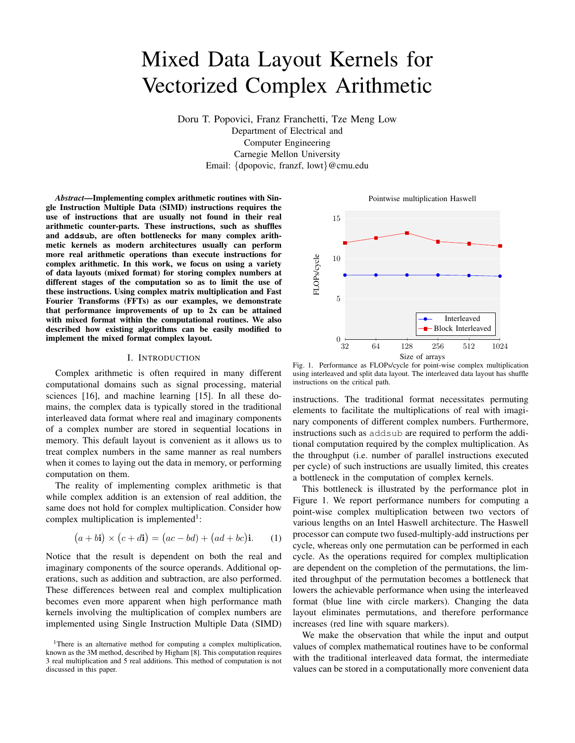# Mixed Data Layout Kernels for Vectorized Complex Arithmetic

Doru T. Popovici, Franz Franchetti, Tze Meng Low Department of Electrical and Computer Engineering Carnegie Mellon University Email: {dpopovic, franzf, lowt}@cmu.edu

*Abstract*—Implementing complex arithmetic routines with Single Instruction Multiple Data (SIMD) instructions requires the use of instructions that are usually not found in their real arithmetic counter-parts. These instructions, such as shuffles and **addsub**, are often bottlenecks for many complex arithmetic kernels as modern architectures usually can perform more real arithmetic operations than execute instructions for complex arithmetic. In this work, we focus on using a variety of data layouts (mixed format) for storing complex numbers at different stages of the computation so as to limit the use of these instructions. Using complex matrix multiplication and Fast Fourier Transforms (FFTs) as our examples, we demonstrate that performance improvements of up to 2x can be attained with mixed format within the computational routines. We also described how existing algorithms can be easily modified to implement the mixed format complex layout.

#### I. INTRODUCTION

Complex arithmetic is often required in many different computational domains such as signal processing, material sciences [16], and machine learning [15]. In all these domains, the complex data is typically stored in the traditional interleaved data format where real and imaginary components of a complex number are stored in sequential locations in memory. This default layout is convenient as it allows us to treat complex numbers in the same manner as real numbers when it comes to laying out the data in memory, or performing computation on them.

The reality of implementing complex arithmetic is that while complex addition is an extension of real addition, the same does not hold for complex multiplication. Consider how complex multiplication is implemented<sup>1</sup>:

$$
(a+bi) \times (c+di) = (ac-bd) + (ad+bc)i.
$$
 (1)

Notice that the result is dependent on both the real and imaginary components of the source operands. Additional operations, such as addition and subtraction, are also performed. These differences between real and complex multiplication becomes even more apparent when high performance math kernels involving the multiplication of complex numbers are implemented using Single Instruction Multiple Data (SIMD)



Fig. 1. Performance as FLOPs/cycle for point-wise complex multiplication using interleaved and split data layout. The interleaved data layout has shuffle instructions on the critical path.

instructions. The traditional format necessitates permuting elements to facilitate the multiplications of real with imaginary components of different complex numbers. Furthermore, instructions such as addsub are required to perform the additional computation required by the complex multiplication. As the throughput (i.e. number of parallel instructions executed per cycle) of such instructions are usually limited, this creates a bottleneck in the computation of complex kernels.

This bottleneck is illustrated by the performance plot in Figure 1. We report performance numbers for computing a point-wise complex multiplication between two vectors of various lengths on an Intel Haswell architecture. The Haswell processor can compute two fused-multiply-add instructions per cycle, whereas only one permutation can be performed in each cycle. As the operations required for complex multiplication are dependent on the completion of the permutations, the limited throughput of the permutation becomes a bottleneck that lowers the achievable performance when using the interleaved format (blue line with circle markers). Changing the data layout eliminates permutations, and therefore performance increases (red line with square markers).

We make the observation that while the input and output values of complex mathematical routines have to be conformal with the traditional interleaved data format, the intermediate values can be stored in a computationally more convenient data

Pointwise multiplication Haswell

<sup>&</sup>lt;sup>1</sup>There is an alternative method for computing a complex multiplication, known as the 3M method, described by Higham [8]. This computation requires 3 real multiplication and 5 real additions. This method of computation is not discussed in this paper.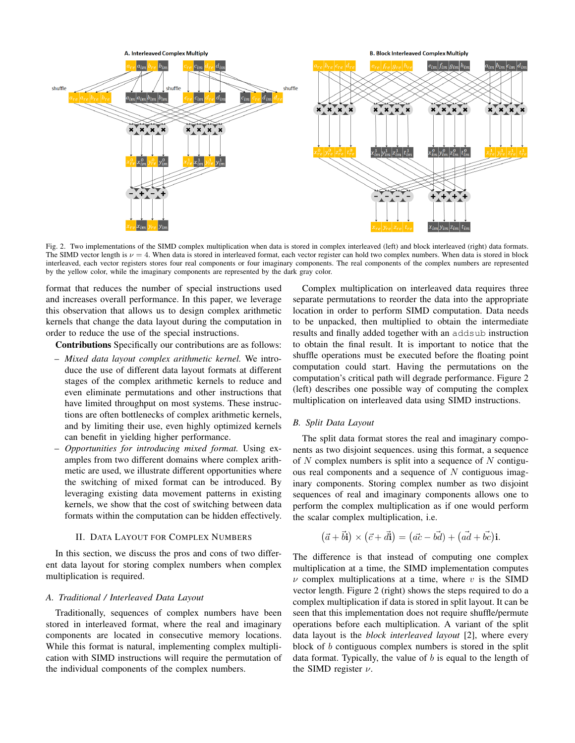

Fig. 2. Two implementations of the SIMD complex multiplication when data is stored in complex interleaved (left) and block interleaved (right) data formats. The SIMD vector length is  $\nu = 4$ . When data is stored in interleaved format, each vector register can hold two complex numbers. When data is stored in block interleaved, each vector registers stores four real components or four imaginary components. The real components of the complex numbers are represented by the yellow color, while the imaginary components are represented by the dark gray color.

format that reduces the number of special instructions used and increases overall performance. In this paper, we leverage this observation that allows us to design complex arithmetic kernels that change the data layout during the computation in order to reduce the use of the special instructions.

Contributions Specifically our contributions are as follows:

- *Mixed data layout complex arithmetic kernel.* We introduce the use of different data layout formats at different stages of the complex arithmetic kernels to reduce and even eliminate permutations and other instructions that have limited throughput on most systems. These instructions are often bottlenecks of complex arithmetic kernels, and by limiting their use, even highly optimized kernels can benefit in yielding higher performance.
- *Opportunities for introducing mixed format.* Using examples from two different domains where complex arithmetic are used, we illustrate different opportunities where the switching of mixed format can be introduced. By leveraging existing data movement patterns in existing kernels, we show that the cost of switching between data formats within the computation can be hidden effectively.

## II. DATA LAYOUT FOR COMPLEX NUMBERS

In this section, we discuss the pros and cons of two different data layout for storing complex numbers when complex multiplication is required.

# *A. Traditional / Interleaved Data Layout*

Traditionally, sequences of complex numbers have been stored in interleaved format, where the real and imaginary components are located in consecutive memory locations. While this format is natural, implementing complex multiplication with SIMD instructions will require the permutation of the individual components of the complex numbers.

Complex multiplication on interleaved data requires three separate permutations to reorder the data into the appropriate location in order to perform SIMD computation. Data needs to be unpacked, then multiplied to obtain the intermediate results and finally added together with an addsub instruction to obtain the final result. It is important to notice that the shuffle operations must be executed before the floating point computation could start. Having the permutations on the computation's critical path will degrade performance. Figure 2 (left) describes one possible way of computing the complex multiplication on interleaved data using SIMD instructions.

#### *B. Split Data Layout*

The split data format stores the real and imaginary components as two disjoint sequences. using this format, a sequence of  $N$  complex numbers is split into a sequence of  $N$  contiguous real components and a sequence of  $N$  contiguous imaginary components. Storing complex number as two disjoint sequences of real and imaginary components allows one to perform the complex multiplication as if one would perform the scalar complex multiplication, i.e.

$$
(\vec{a} + \vec{b}\mathbf{i}) \times (\vec{c} + \vec{d}\mathbf{i}) = (\vec{ac} - \vec{bd}) + (\vec{ad} + \vec{bc})\mathbf{i}.
$$

The difference is that instead of computing one complex multiplication at a time, the SIMD implementation computes  $\nu$  complex multiplications at a time, where v is the SIMD vector length. Figure 2 (right) shows the steps required to do a complex multiplication if data is stored in split layout. It can be seen that this implementation does not require shuffle/permute operations before each multiplication. A variant of the split data layout is the *block interleaved layout* [2], where every block of b contiguous complex numbers is stored in the split data format. Typically, the value of  $b$  is equal to the length of the SIMD register  $\nu$ .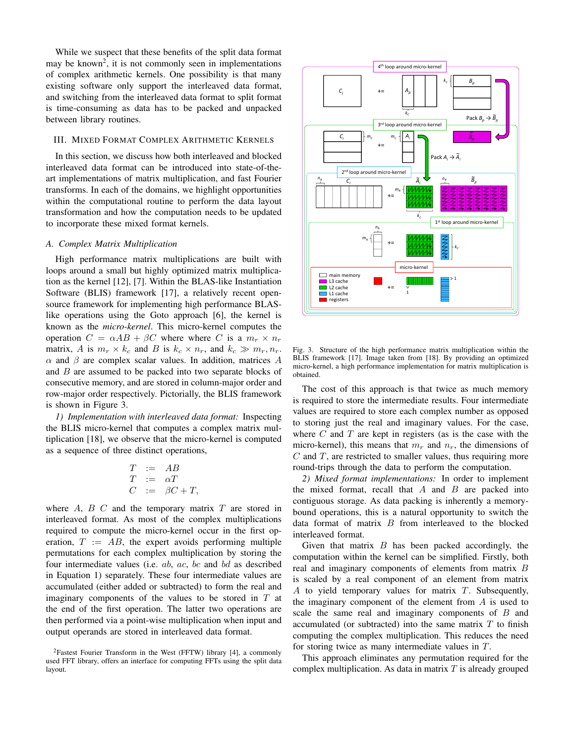While we suspect that these benefits of the split data format may be known<sup>2</sup>, it is not commonly seen in implementations of complex arithmetic kernels. One possibility is that many existing software only support the interleaved data format, and switching from the interleaved data format to split format is time-consuming as data has to be packed and unpacked between library routines.

# III. MIXED FORMAT COMPLEX ARITHMETIC KERNELS

In this section, we discuss how both interleaved and blocked interleaved data format can be introduced into state-of-theart implementations of matrix multiplication, and fast Fourier transforms. In each of the domains, we highlight opportunities within the computational routine to perform the data layout transformation and how the computation needs to be updated to incorporate these mixed format kernels.

## *A. Complex Matrix Multiplication*

High performance matrix multiplications are built with loops around a small but highly optimized matrix multiplication as the kernel [12], [7]. Within the BLAS-like Instantiation Software (BLIS) framework [17], a relatively recent opensource framework for implementing high performance BLASlike operations using the Goto approach [6], the kernel is known as the *micro-kernel*. This micro-kernel computes the operation  $C = \alpha AB + \beta C$  where where C is a  $m_r \times n_r$ matrix, A is  $m_r \times k_c$  and B is  $k_c \times n_r$ , and  $k_c \gg m_r, n_r$ .  $\alpha$  and  $\beta$  are complex scalar values. In addition, matrices A and  $B$  are assumed to be packed into two separate blocks of consecutive memory, and are stored in column-major order and row-major order respectively. Pictorially, the BLIS framework is shown in Figure 3.

*1) Implementation with interleaved data format:* Inspecting the BLIS micro-kernel that computes a complex matrix multiplication [18], we observe that the micro-kernel is computed as a sequence of three distinct operations,

$$
\begin{array}{rcl} T & := & AB \\ T & := & \alpha T \\ C & := & \beta C + T, \end{array}
$$

where  $A$ ,  $B$   $C$  and the temporary matrix  $T$  are stored in interleaved format. As most of the complex multiplications required to compute the micro-kernel occur in the first operation,  $T := AB$ , the expert avoids performing multiple permutations for each complex multiplication by storing the four intermediate values (i.e. ab, ac, bc and bd as described in Equation 1) separately. These four intermediate values are accumulated (either added or subtracted) to form the real and imaginary components of the values to be stored in  $T$  at the end of the first operation. The latter two operations are then performed via a point-wise multiplication when input and output operands are stored in interleaved data format.



Fig. 3. Structure of the high performance matrix multiplication within the BLIS framework [17]. Image taken from [18]. By providing an optimized micro-kernel, a high performance implementation for matrix multiplication is obtained.

The cost of this approach is that twice as much memory is required to store the intermediate results. Four intermediate values are required to store each complex number as opposed to storing just the real and imaginary values. For the case, where  $C$  and  $T$  are kept in registers (as is the case with the micro-kernel), this means that  $m_r$  and  $n_r$ , the dimensions of  $C$  and  $T$ , are restricted to smaller values, thus requiring more round-trips through the data to perform the computation.

*2) Mixed format implementations:* In order to implement the mixed format, recall that  $A$  and  $B$  are packed into contiguous storage. As data packing is inherently a memorybound operations, this is a natural opportunity to switch the data format of matrix  $B$  from interleaved to the blocked interleaved format.

Given that matrix  $B$  has been packed accordingly, the computation within the kernel can be simplified. Firstly, both real and imaginary components of elements from matrix B is scaled by a real component of an element from matrix A to yield temporary values for matrix  $T$ . Subsequently, the imaginary component of the element from  $A$  is used to scale the same real and imaginary components of  $B$  and accumulated (or subtracted) into the same matrix  $T$  to finish computing the complex multiplication. This reduces the need for storing twice as many intermediate values in T.

This approach eliminates any permutation required for the complex multiplication. As data in matrix  $T$  is already grouped

<sup>&</sup>lt;sup>2</sup>Fastest Fourier Transform in the West (FFTW) library [4], a commonly used FFT library, offers an interface for computing FFTs using the split data layout.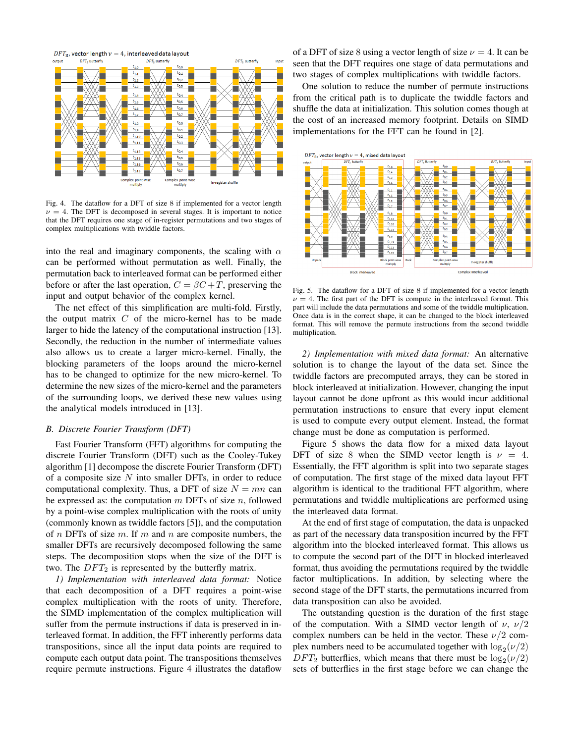

Fig. 4. The dataflow for a DFT of size 8 if implemented for a vector length  $\nu = 4$ . The DFT is decomposed in several stages. It is important to notice that the DFT requires one stage of in-register permutations and two stages of complex multiplications with twiddle factors.

into the real and imaginary components, the scaling with  $\alpha$ can be performed without permutation as well. Finally, the permutation back to interleaved format can be performed either before or after the last operation,  $C = \beta C + T$ , preserving the input and output behavior of the complex kernel.

The net effect of this simplification are multi-fold. Firstly, the output matrix  $C$  of the micro-kernel has to be made larger to hide the latency of the computational instruction [13]. Secondly, the reduction in the number of intermediate values also allows us to create a larger micro-kernel. Finally, the blocking parameters of the loops around the micro-kernel has to be changed to optimize for the new micro-kernel. To determine the new sizes of the micro-kernel and the parameters of the surrounding loops, we derived these new values using the analytical models introduced in [13].

## *B. Discrete Fourier Transform (DFT)*

Fast Fourier Transform (FFT) algorithms for computing the discrete Fourier Transform (DFT) such as the Cooley-Tukey algorithm [1] decompose the discrete Fourier Transform (DFT) of a composite size  $N$  into smaller DFTs, in order to reduce computational complexity. Thus, a DFT of size  $N = mn$  can be expressed as: the computation  $m$  DFTs of size  $n$ , followed by a point-wise complex multiplication with the roots of unity (commonly known as twiddle factors [5]), and the computation of n DFTs of size m. If m and n are composite numbers, the smaller DFTs are recursively decomposed following the same steps. The decomposition stops when the size of the DFT is two. The  $DFT_2$  is represented by the butterfly matrix.

*1) Implementation with interleaved data format:* Notice that each decomposition of a DFT requires a point-wise complex multiplication with the roots of unity. Therefore, the SIMD implementation of the complex multiplication will suffer from the permute instructions if data is preserved in interleaved format. In addition, the FFT inherently performs data transpositions, since all the input data points are required to compute each output data point. The transpositions themselves require permute instructions. Figure 4 illustrates the dataflow of a DFT of size 8 using a vector length of size  $\nu = 4$ . It can be seen that the DFT requires one stage of data permutations and two stages of complex multiplications with twiddle factors.

One solution to reduce the number of permute instructions from the critical path is to duplicate the twiddle factors and shuffle the data at initialization. This solution comes though at the cost of an increased memory footprint. Details on SIMD implementations for the FFT can be found in [2].



Fig. 5. The dataflow for a DFT of size 8 if implemented for a vector length  $\nu = 4$ . The first part of the DFT is compute in the interleaved format. This part will include the data permutations and some of the twiddle multiplication. Once data is in the correct shape, it can be changed to the block interleaved format. This will remove the permute instructions from the second twiddle multiplication.

*2) Implementation with mixed data format:* An alternative solution is to change the layout of the data set. Since the twiddle factors are precomputed arrays, they can be stored in block interleaved at initialization. However, changing the input layout cannot be done upfront as this would incur additional permutation instructions to ensure that every input element is used to compute every output element. Instead, the format change must be done as computation is performed.

Figure 5 shows the data flow for a mixed data layout DFT of size 8 when the SIMD vector length is  $\nu = 4$ . Essentially, the FFT algorithm is split into two separate stages of computation. The first stage of the mixed data layout FFT algorithm is identical to the traditional FFT algorithm, where permutations and twiddle multiplications are performed using the interleaved data format.

At the end of first stage of computation, the data is unpacked as part of the necessary data transposition incurred by the FFT algorithm into the blocked interleaved format. This allows us to compute the second part of the DFT in blocked interleaved format, thus avoiding the permutations required by the twiddle factor multiplications. In addition, by selecting where the second stage of the DFT starts, the permutations incurred from data transposition can also be avoided.

The outstanding question is the duration of the first stage of the computation. With a SIMD vector length of  $\nu$ ,  $\nu/2$ complex numbers can be held in the vector. These  $\nu/2$  complex numbers need to be accumulated together with  $\log_2(\nu/2)$  $DFT_2$  butterflies, which means that there must be  $\log_2(\nu/2)$ sets of butterflies in the first stage before we can change the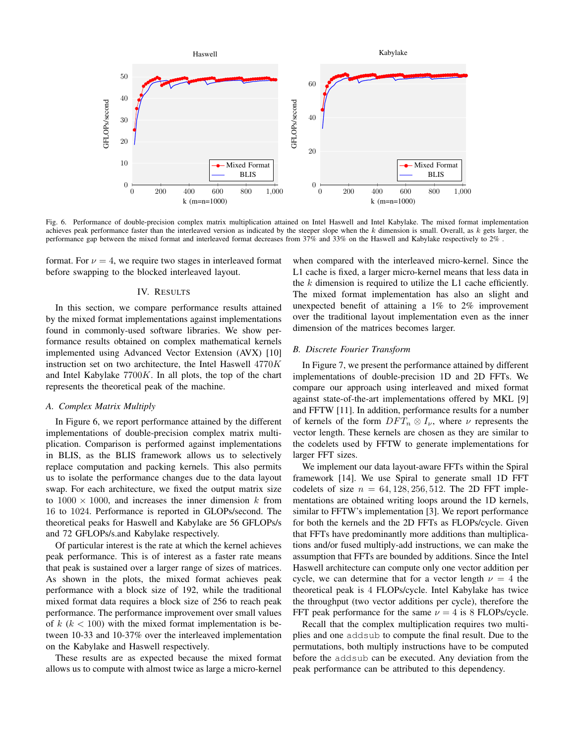

Fig. 6. Performance of double-precision complex matrix multiplication attained on Intel Haswell and Intel Kabylake. The mixed format implementation achieves peak performance faster than the interleaved version as indicated by the steeper slope when the  $k$  dimension is small. Overall, as  $k$  gets larger, the performance gap between the mixed format and interleaved format decreases from 37% and 33% on the Haswell and Kabylake respectively to 2% .

format. For  $\nu = 4$ , we require two stages in interleaved format before swapping to the blocked interleaved layout.

#### IV. RESULTS

In this section, we compare performance results attained by the mixed format implementations against implementations found in commonly-used software libraries. We show performance results obtained on complex mathematical kernels implemented using Advanced Vector Extension (AVX) [10] instruction set on two architecture, the Intel Haswell 4770K and Intel Kabylake 7700K. In all plots, the top of the chart represents the theoretical peak of the machine.

# *A. Complex Matrix Multiply*

In Figure 6, we report performance attained by the different implementations of double-precision complex matrix multiplication. Comparison is performed against implementations in BLIS, as the BLIS framework allows us to selectively replace computation and packing kernels. This also permits us to isolate the performance changes due to the data layout swap. For each architecture, we fixed the output matrix size to  $1000 \times 1000$ , and increases the inner dimension k from 16 to 1024. Performance is reported in GLOPs/second. The theoretical peaks for Haswell and Kabylake are 56 GFLOPs/s and 72 GFLOPs/s.and Kabylake respectively.

Of particular interest is the rate at which the kernel achieves peak performance. This is of interest as a faster rate means that peak is sustained over a larger range of sizes of matrices. As shown in the plots, the mixed format achieves peak performance with a block size of 192, while the traditional mixed format data requires a block size of 256 to reach peak performance. The performance improvement over small values of  $k (k < 100)$  with the mixed format implementation is between 10-33 and 10-37% over the interleaved implementation on the Kabylake and Haswell respectively.

These results are as expected because the mixed format allows us to compute with almost twice as large a micro-kernel when compared with the interleaved micro-kernel. Since the L1 cache is fixed, a larger micro-kernel means that less data in the  $k$  dimension is required to utilize the L1 cache efficiently. The mixed format implementation has also an slight and unexpected benefit of attaining a 1% to 2% improvement over the traditional layout implementation even as the inner dimension of the matrices becomes larger.

# *B. Discrete Fourier Transform*

In Figure 7, we present the performance attained by different implementations of double-precision 1D and 2D FFTs. We compare our approach using interleaved and mixed format against state-of-the-art implementations offered by MKL [9] and FFTW [11]. In addition, performance results for a number of kernels of the form  $DFT_n \otimes I_{\nu}$ , where  $\nu$  represents the vector length. These kernels are chosen as they are similar to the codelets used by FFTW to generate implementations for larger FFT sizes.

We implement our data layout-aware FFTs within the Spiral framework [14]. We use Spiral to generate small 1D FFT codelets of size  $n = 64, 128, 256, 512$ . The 2D FFT implementations are obtained writing loops around the 1D kernels, similar to FFTW's implementation [3]. We report performance for both the kernels and the 2D FFTs as FLOPs/cycle. Given that FFTs have predominantly more additions than multiplications and/or fused multiply-add instructions, we can make the assumption that FFTs are bounded by additions. Since the Intel Haswell architecture can compute only one vector addition per cycle, we can determine that for a vector length  $\nu = 4$  the theoretical peak is 4 FLOPs/cycle. Intel Kabylake has twice the throughput (two vector additions per cycle), therefore the FFT peak performance for the same  $\nu = 4$  is 8 FLOPs/cycle.

Recall that the complex multiplication requires two multiplies and one addsub to compute the final result. Due to the permutations, both multiply instructions have to be computed before the addsub can be executed. Any deviation from the peak performance can be attributed to this dependency.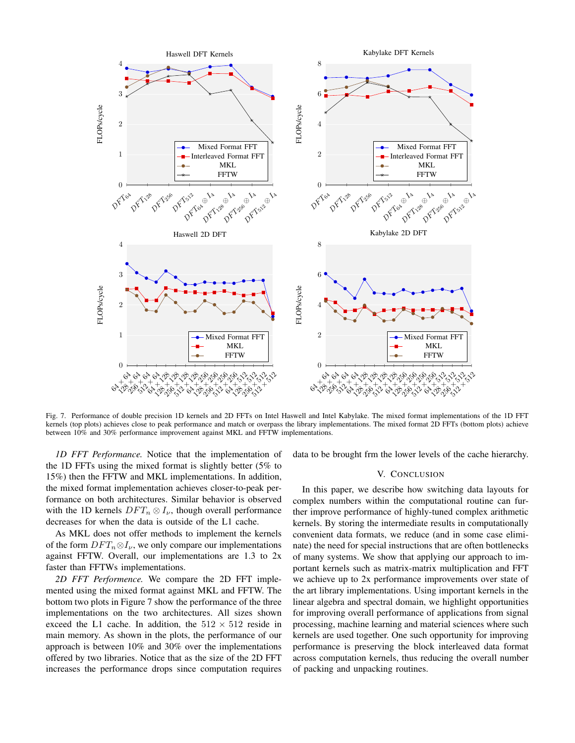

Fig. 7. Performance of double precision 1D kernels and 2D FFTs on Intel Haswell and Intel Kabylake. The mixed format implementations of the 1D FFT kernels (top plots) achieves close to peak performance and match or overpass the library implementations. The mixed format 2D FFTs (bottom plots) achieve between 10% and 30% performance improvement against MKL and FFTW implementations.

*1D FFT Performance.* Notice that the implementation of the 1D FFTs using the mixed format is slightly better (5% to 15%) then the FFTW and MKL implementations. In addition, the mixed format implementation achieves closer-to-peak performance on both architectures. Similar behavior is observed with the 1D kernels  $DFT_n \otimes I_{\nu}$ , though overall performance decreases for when the data is outside of the L1 cache.

As MKL does not offer methods to implement the kernels of the form  $DFT_n \otimes I_\nu$ , we only compare our implementations against FFTW. Overall, our implementations are 1.3 to 2x faster than FFTWs implementations.

*2D FFT Performence.* We compare the 2D FFT implemented using the mixed format against MKL and FFTW. The bottom two plots in Figure 7 show the performance of the three implementations on the two architectures. All sizes shown exceed the L1 cache. In addition, the  $512 \times 512$  reside in main memory. As shown in the plots, the performance of our approach is between 10% and 30% over the implementations offered by two libraries. Notice that as the size of the 2D FFT increases the performance drops since computation requires data to be brought frm the lower levels of the cache hierarchy.

#### V. CONCLUSION

In this paper, we describe how switching data layouts for complex numbers within the computational routine can further improve performance of highly-tuned complex arithmetic kernels. By storing the intermediate results in computationally convenient data formats, we reduce (and in some case eliminate) the need for special instructions that are often bottlenecks of many systems. We show that applying our approach to important kernels such as matrix-matrix multiplication and FFT we achieve up to 2x performance improvements over state of the art library implementations. Using important kernels in the linear algebra and spectral domain, we highlight opportunities for improving overall performance of applications from signal processing, machine learning and material sciences where such kernels are used together. One such opportunity for improving performance is preserving the block interleaved data format across computation kernels, thus reducing the overall number of packing and unpacking routines.